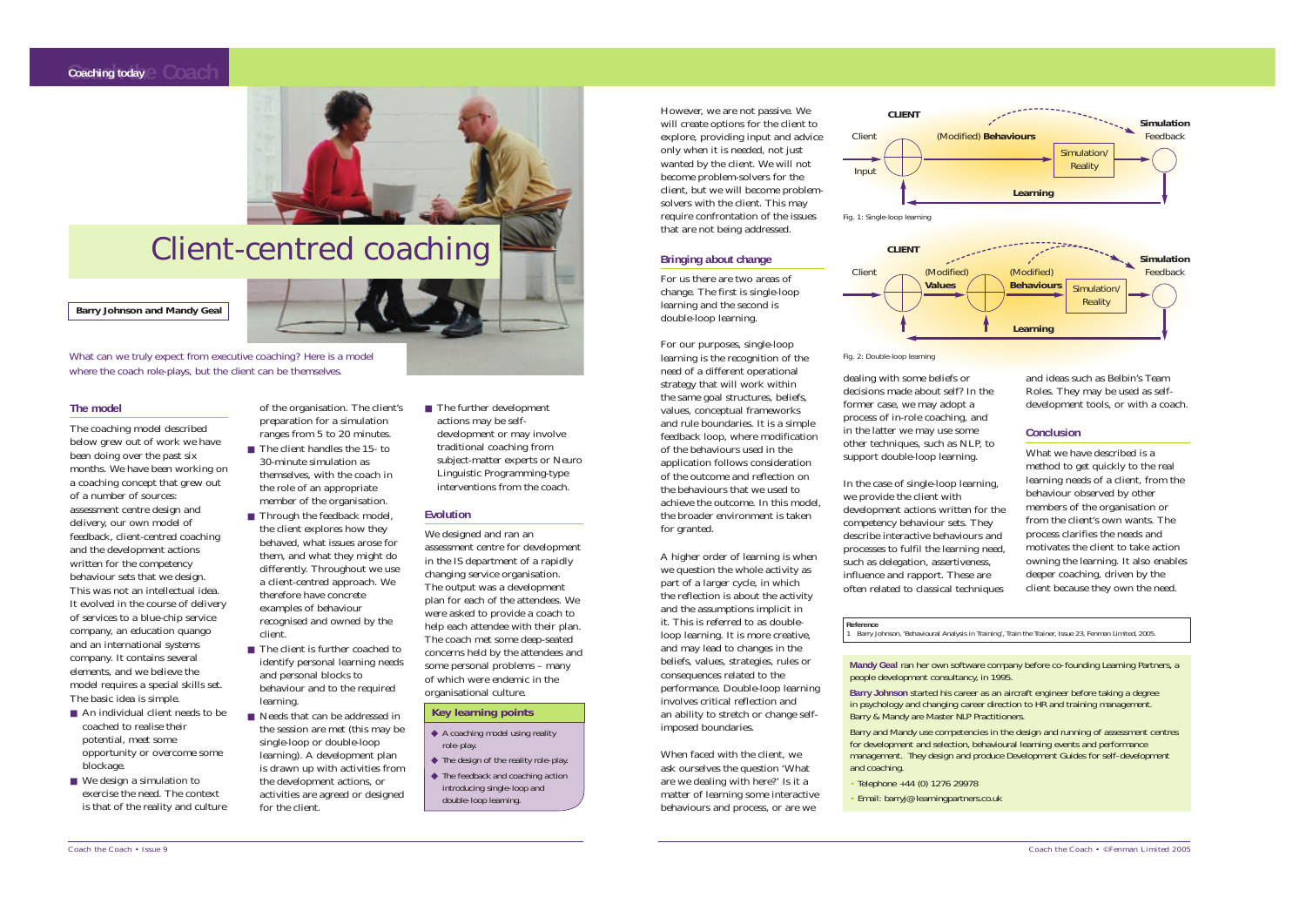**Barry Johnson and Mandy Geal**

### **Coaching today**  $\in$  **Coach**



# Client-centred coaching

What can we truly expect from executive coaching? Here is a model where the coach role-plays, but the client can be themselves.

#### **The model**

- An individual client needs to be coached to realise their potential, meet some opportunity or overcome some blockage.
- We design a simulation to exercise the need. The context is that of the reality and culture

The coaching model described below grew out of work we have been doing over the past six months. We have been working on a coaching concept that grew out of a number of sources: assessment centre design and delivery, our own model of feedback, client-centred coaching and the development actions written for the competency behaviour sets that we design. This was not an intellectual idea. It evolved in the course of delivery of services to a blue-chip service company, an education quango and an international systems company. It contains several elements, and we believe the model requires a special skills set. The basic idea is simple.

- The client handles the 15- to 30-minute simulation as themselves, with the coach in the role of an appropriate member of the organisation.
- Through the feedback model, the client explores how they behaved, what issues arose for them, and what they might do differently. Throughout we use a client-centred approach. We therefore have concrete examples of behaviour recognised and owned by the client.
- identify personal learning needs and personal blocks to behaviour and to the required learning.
- Needs that can be addressed in the session are met (this may be single-loop or double-loop learning). A development plan is drawn up with activities from the development actions, or activities are agreed or designed for the client.
- 
- 
- The client is further coached to

■ The further development actions may be selfdevelopment or may involve traditional coaching from subject-matter experts or Neuro Linguistic Programming-type interventions from the coach.

of the organisation. The client' s preparation for a simulation ranges from 5 to 20 minutes.

#### **Evolution**

We designed and ran an assessment centre for development in the IS department of a rapidly changing service organisation. The output was a development plan for each of the attendees. We were asked to provide a coach to help each attendee with their plan. The coach met some deep-seated concerns held by the attendees and some personal problems – many of which were endemic in the organisational culture.

However, we are not passive. We will create options for the client to explore, providing input and advice only when it is needed, not just wanted by the client. We will not become problem-solvers for the client, but we will become problemsolvers with the client. This may require confrontation of the issues that are not being addressed.

#### **Bringing about change**

- ◆ A coaching model using reality role-play.
- ◆ The design of the reality role-play. ◆ The feedback and coaching action introducing single-loop and double-loop learning.

For us there are two areas of change. The first is *single-loop learning* and the second is double-loop learning.

For our purposes, single-loop learning is the recognition of the need of a different operational strategy that will work within the same goal structures, beliefs, values, conceptual frameworks and rule boundaries. It is a simple feedback loop, where modification of the behaviours used in the application follows consideration of the outcome and reflection on the behaviours that we used to achieve the outcome. In this model, the broader environment is taken for granted.

A higher order of learning is when we question the whole activity as part of a larger cycle, in which the reflection is about the activity and the assumptions implicit in it. This is referred to as doubleloop learning. It is more creative, and may lead to changes in the beliefs, values, strategies, rules or consequences related to the performance. Double-loop learning involves critical reflection and an ability to stretch or change selfimposed boundaries.

When faced with the client, we ask ourselves the question 'What are we dealing with here?' Is it a matter of learning some interactive behaviours and process, or are we

dealing with some beliefs or decisions made about self? In th former case, we may adopt a process of in-role coaching, and in the latter we may use some other techniques, such as NLP, support double-loop learning.

In the case of single-loop learning we provide the client with development actions written for competency behaviour sets. The describe interactive behaviours processes to fulfil the learning needsuch as delegation, assertiveness influence and rapport. These are often related to classical techniq

| he    | and ideas such as Belbin's Team<br>Roles. They may be used as self-<br>development tools, or with a coach. |
|-------|------------------------------------------------------------------------------------------------------------|
| ł     |                                                                                                            |
| to    | <b>Conclusion</b>                                                                                          |
|       | What we have described is a                                                                                |
|       | method to get quickly to the real                                                                          |
| ng,   | learning needs of a client, from the                                                                       |
|       | behaviour observed by other                                                                                |
| r the | members of the organisation or                                                                             |
| ey    | from the client's own wants. The                                                                           |
| and   | process clarifies the needs and                                                                            |
| eed,  | motivates the client to take action                                                                        |
| S,    | owning the learning. It also enables                                                                       |
| è     | deeper coaching, driven by the                                                                             |
| ques  | client because they own the need.                                                                          |
|       |                                                                                                            |

**Mandy Geal** ran her own software company before co-founding Learning Partners, a people development consultancy, in 1995. **Barry Johnson** started his career as an aircraft engineer before taking a degree in psychology and changing career direction to HR and training management. Barry & Mandy are Master NLP Practitioners. Barry and Mandy use competencies in the design and running of assessment centres for development and selection, behavioural learning events and performance management. They design and produce Development Guides for self-development and coaching.

- Telephone +44 (0) 1276 29978
- Email: barryj@learningpartners.co.uk

#### **Key learning points**

### **Reference**

1 Barry Johnson, 'Behavioural Analysis in Training', *Train the Trainer*, Issue 23, Fenman Limited, 2005.



# Input **CLIENT**  Client (Modified) **Behaviours CLIENT**  Client (Modified) **Values** Fig. 1: Single-loop learning



Fig. 2: Double-loop learning